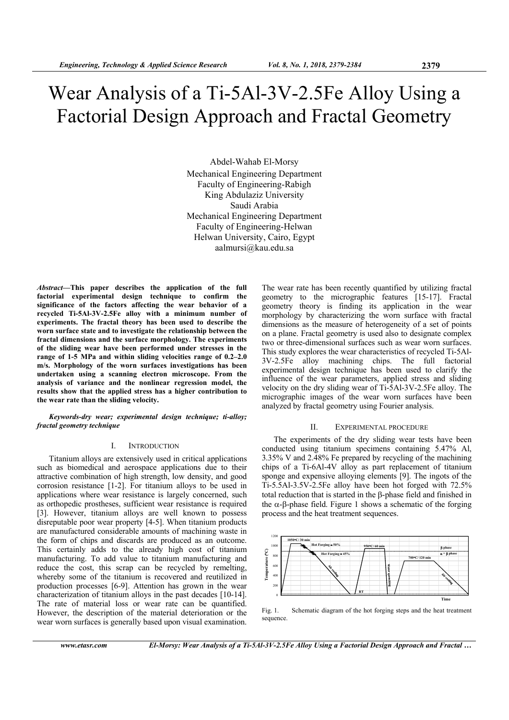# Wear Analysis of a Ti-5Al-3V-2.5Fe Alloy Using a Factorial Design Approach and Fractal Geometry

Abdel-Wahab El-Morsy Mechanical Engineering Department Faculty of Engineering-Rabigh King Abdulaziz University Saudi Arabia Mechanical Engineering Department Faculty of Engineering-Helwan Helwan University, Cairo, Egypt aalmursi@kau.edu.sa

*Abstract***—This paper describes the application of the full factorial experimental design technique to confirm the significance of the factors affecting the wear behavior of a recycled Ti-5Al-3V-2.5Fe alloy with a minimum number of experiments. The fractal theory has been used to describe the worn surface state and to investigate the relationship between the fractal dimensions and the surface morphology. The experiments of the sliding wear have been performed under stresses in the range of 1-5 MPa and within sliding velocities range of 0.2–2.0 m/s. Morphology of the worn surfaces investigations has been undertaken using a scanning electron microscope. From the analysis of variance and the nonlinear regression model, the results show that the applied stress has a higher contribution to the wear rate than the sliding velocity.** 

## *Keywords-dry wear; experimental design technique; ti-alloy; fractal geometry technique*

# I. INTRODUCTION

Titanium alloys are extensively used in critical applications such as biomedical and aerospace applications due to their attractive combination of high strength, low density, and good corrosion resistance [1-2]. For titanium alloys to be used in applications where wear resistance is largely concerned, such as orthopedic prostheses, sufficient wear resistance is required [3]. However, titanium alloys are well known to possess disreputable poor wear property [4-5]. When titanium products are manufactured considerable amounts of machining waste in the form of chips and discards are produced as an outcome. This certainly adds to the already high cost of titanium manufacturing. To add value to titanium manufacturing and reduce the cost, this scrap can be recycled by remelting, whereby some of the titanium is recovered and reutilized in production processes [6-9]. Attention has grown in the wear characterization of titanium alloys in the past decades [10-14]. The rate of material loss or wear rate can be quantified. However, the description of the material deterioration or the wear worn surfaces is generally based upon visual examination.

The wear rate has been recently quantified by utilizing fractal geometry to the micrographic features [15-17]. Fractal geometry theory is finding its application in the wear morphology by characterizing the worn surface with fractal dimensions as the measure of heterogeneity of a set of points on a plane. Fractal geometry is used also to designate complex two or three-dimensional surfaces such as wear worn surfaces. This study explores the wear characteristics of recycled Ti-5Al-3V-2.5Fe alloy machining chips. The full factorial experimental design technique has been used to clarify the influence of the wear parameters, applied stress and sliding velocity on the dry sliding wear of Ti-5Al-3V-2.5Fe alloy. The micrographic images of the wear worn surfaces have been analyzed by fractal geometry using Fourier analysis.

#### II. EXPERIMENTAL PROCEDURE

The experiments of the dry sliding wear tests have been conducted using titanium specimens containing 5.47% Al, 3.35% V and 2.48% Fe prepared by recycling of the machining chips of a Ti-6Al-4V alloy as part replacement of titanium sponge and expensive alloying elements [9]. The ingots of the Ti-5.5Al-3.5V-2.5Fe alloy have been hot forged with 72.5% total reduction that is started in the  $\beta$ -phase field and finished in the  $\alpha$ - $\beta$ -phase field. Figure 1 shows a schematic of the forging process and the heat treatment sequences.



Fig. 1. Schematic diagram of the hot forging steps and the heat treatment sequence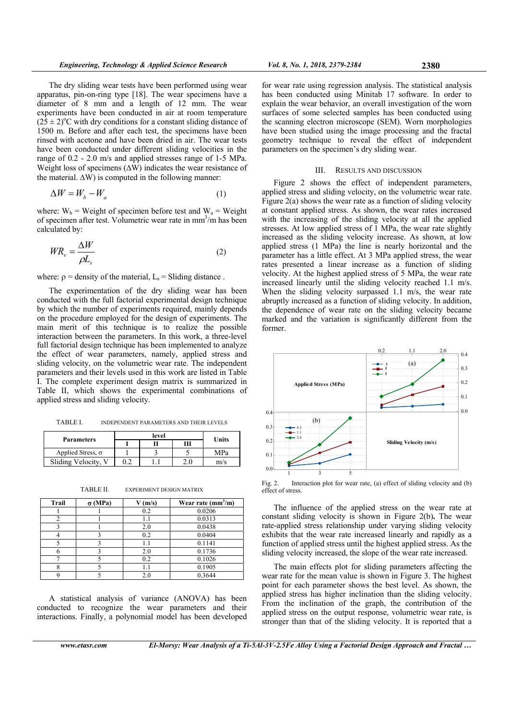The dry sliding wear tests have been performed using wear apparatus, pin-on-ring type [18]. The wear specimens have a diameter of 8 mm and a length of 12 mm. The wear experiments have been conducted in air at room temperature  $(2\bar{5} \pm 2)^{o}$ C with dry conditions for a constant sliding distance of 1500 m. Before and after each test, the specimens have been rinsed with acetone and have been dried in air. The wear tests have been conducted under different sliding velocities in the range of 0.2 - 2.0 m/s and applied stresses range of 1-5 MPa. Weight loss of specimens  $(\Delta W)$  indicates the wear resistance of the material.  $\Delta W$ ) is computed in the following manner:

$$
\Delta W = W_b - W_a \tag{1}
$$

where:  $W_b$  = Weight of specimen before test and  $W_a$  = Weight of specimen after test. Volumetric wear rate in mm<sup>3</sup>/m has been calculated by:

$$
WR_{\nu} = \frac{\Delta W}{\rho L_s} \tag{2}
$$

where:  $\rho$  = density of the material,  $L_s$  = Sliding distance.

The experimentation of the dry sliding wear has been conducted with the full factorial experimental design technique by which the number of experiments required, mainly depends on the procedure employed for the design of experiments. The main merit of this technique is to realize the possible interaction between the parameters. In this work, a three-level full factorial design technique has been implemented to analyze the effect of wear parameters, namely, applied stress and sliding velocity, on the volumetric wear rate. The independent parameters and their levels used in this work are listed in Table I. The complete experiment design matrix is summarized in Table II, which shows the experimental combinations of applied stress and sliding velocity.

TABLE I. INDEPENDENT PARAMETERS AND THEIR LEVELS

|                          | level |  |   | Units |
|--------------------------|-------|--|---|-------|
| <b>Parameters</b>        |       |  | Ш |       |
| Applied Stress, $\sigma$ |       |  |   | MPa   |
| Sliding Velocity, V      |       |  |   | m/s   |

| TABLE II. | <b>EXPERIMENT DESIGN MATRIX</b> |
|-----------|---------------------------------|
|-----------|---------------------------------|

| <b>Trail</b> | $\sigma$ (MPa) | $V$ (m/s) | Wear rate $(mm^3/m)$ |
|--------------|----------------|-----------|----------------------|
|              |                | 0.2       | 0.0206               |
| ↑            |                | 1.1       | 0.0313               |
|              |                | 2.0       | 0.0438               |
|              |                | 0.2       | 0.0404               |
|              |                | 1.1       | 0.1141               |
|              |                | 2.0       | 0.1736               |
|              |                | 0.2       | 0.1026               |
|              |                | 1.1       | 0.1905               |
| Q            |                | 2.0       | 0.3644               |

A statistical analysis of variance (ANOVA) has been conducted to recognize the wear parameters and their interactions. Finally, a polynomial model has been developed

for wear rate using regression analysis. The statistical analysis has been conducted using Minitab 17 software. In order to explain the wear behavior, an overall investigation of the worn surfaces of some selected samples has been conducted using the scanning electron microscope (SEM). Worn morphologies have been studied using the image processing and the fractal geometry technique to reveal the effect of independent parameters on the specimen's dry sliding wear.

# III. RESULTS AND DISCUSSION

Figure 2 shows the effect of independent parameters, applied stress and sliding velocity, on the volumetric wear rate. Figure 2(a) shows the wear rate as a function of sliding velocity at constant applied stress. As shown, the wear rates increased with the increasing of the sliding velocity at all the applied stresses. At low applied stress of 1 MPa, the wear rate slightly increased as the sliding velocity increase. As shown, at low applied stress (1 MPa) the line is nearly horizontal and the parameter has a little effect. At 3 MPa applied stress, the wear rates presented a linear increase as a function of sliding velocity. At the highest applied stress of 5 MPa, the wear rate increased linearly until the sliding velocity reached 1.1 m/s. When the sliding velocity surpassed 1.1 m/s, the wear rate abruptly increased as a function of sliding velocity. In addition, the dependence of wear rate on the sliding velocity became marked and the variation is significantly different from the former.



Fig. 2. Interaction plot for wear rate, (a) effect of sliding velocity and (b) effect of stress.

The influence of the applied stress on the wear rate at constant sliding velocity is shown in Figure 2(b)**.** The wear rate-applied stress relationship under varying sliding velocity exhibits that the wear rate increased linearly and rapidly as a function of applied stress until the highest applied stress. As the sliding velocity increased, the slope of the wear rate increased.

The main effects plot for sliding parameters affecting the wear rate for the mean value is shown in Figure 3. The highest point for each parameter shows the best level. As shown, the applied stress has higher inclination than the sliding velocity. From the inclination of the graph, the contribution of the applied stress on the output response, volumetric wear rate, is stronger than that of the sliding velocity. It is reported that a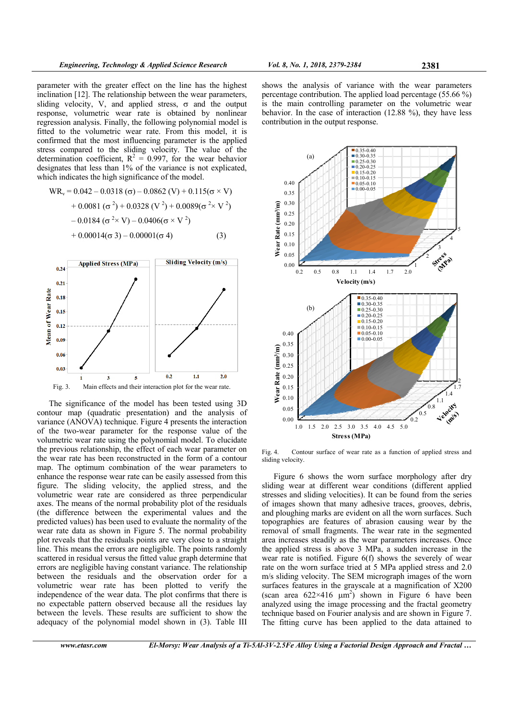parameter with the greater effect on the line has the highest inclination [12]. The relationship between the wear parameters, sliding velocity, V, and applied stress,  $\sigma$  and the output response, volumetric wear rate is obtained by nonlinear regression analysis. Finally, the following polynomial model is fitted to the volumetric wear rate. From this model, it is confirmed that the most influencing parameter is the applied stress compared to the sliding velocity. The value of the determination coefficient,  $R^2 = 0.997$ , for the wear behavior designates that less than 1% of the variance is not explicated, which indicates the high significance of the model.

$$
WR_v = 0.042 - 0.0318 (σ) - 0.0862 (V) + 0.115(σ × V)+ 0.0081 (σ2) + 0.0328 (V2) + 0.0089(σ2 × V2)- 0.0184 (σ2 × V) - 0.0406(σ × V2)+ 0.00014(σ 3) - 0.00001(σ 4)
$$
 (3)



The significance of the model has been tested using 3D contour map (quadratic presentation) and the analysis of variance (ANOVA) technique. Figure 4 presents the interaction of the two-wear parameter for the response value of the volumetric wear rate using the polynomial model. To elucidate the previous relationship, the effect of each wear parameter on the wear rate has been reconstructed in the form of a contour map. The optimum combination of the wear parameters to enhance the response wear rate can be easily assessed from this figure. The sliding velocity, the applied stress, and the volumetric wear rate are considered as three perpendicular axes. The means of the normal probability plot of the residuals (the difference between the experimental values and the predicted values) has been used to evaluate the normality of the wear rate data as shown in Figure 5. The normal probability plot reveals that the residuals points are very close to a straight line. This means the errors are negligible. The points randomly scattered in residual versus the fitted value graph determine that errors are negligible having constant variance. The relationship between the residuals and the observation order for a volumetric wear rate has been plotted to verify the independence of the wear data. The plot confirms that there is no expectable pattern observed because all the residues lay between the levels. These results are sufficient to show the adequacy of the polynomial model shown in (3). Table III

shows the analysis of variance with the wear parameters percentage contribution. The applied load percentage (55.66 %) is the main controlling parameter on the volumetric wear behavior. In the case of interaction (12.88 %), they have less contribution in the output response.



Fig. 4. Contour surface of wear rate as a function of applied stress and sliding velocity.

Figure 6 shows the worn surface morphology after dry sliding wear at different wear conditions (different applied stresses and sliding velocities). It can be found from the series of images shown that many adhesive traces, grooves, debris, and ploughing marks are evident on all the worn surfaces. Such topographies are features of abrasion causing wear by the removal of small fragments. The wear rate in the segmented area increases steadily as the wear parameters increases. Once the applied stress is above 3 MPa, a sudden increase in the wear rate is notified. Figure 6(f) shows the severely of wear rate on the worn surface tried at 5 MPa applied stress and 2.0 m/s sliding velocity. The SEM micrograph images of the worn surfaces features in the grayscale at a magnification of X200 (scan area  $622\times416$  µm<sup>2</sup>) shown in Figure 6 have been analyzed using the image processing and the fractal geometry technique based on Fourier analysis and are shown in Figure 7. The fitting curve has been applied to the data attained to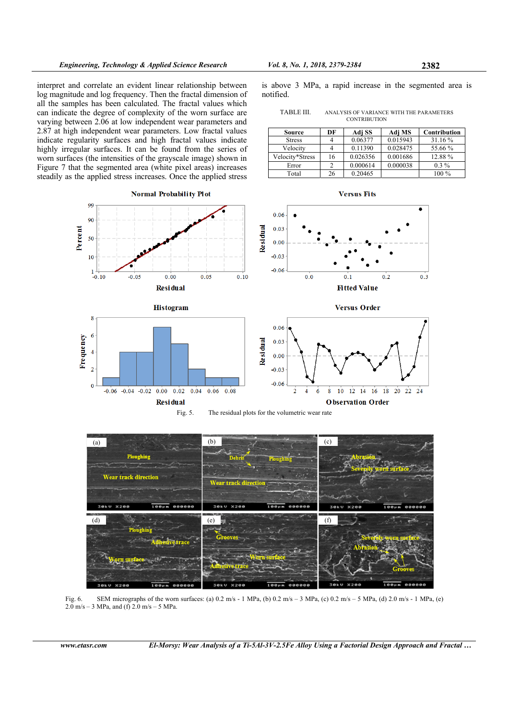interpret and correlate an evident linear relationship between log magnitude and log frequency. Then the fractal dimension of all the samples has been calculated. The fractal values which can indicate the degree of complexity of the worn surface are varying between 2.06 at low independent wear parameters and 2.87 at high independent wear parameters. Low fractal values indicate regularity surfaces and high fractal values indicate highly irregular surfaces. It can be found from the series of worn surfaces (the intensities of the grayscale image) shown in Figure 7 that the segmented area (white pixel areas) increases steadily as the applied stress increases. Once the applied stress

**Normal Probability Plot** 

is above 3 MPa, a rapid increase in the segmented area is notified.

| TABLE III. | ANALYSIS OF VARIANCE WITH THE PARAMETERS |
|------------|------------------------------------------|
|            | <b>CONTRIBUTION</b>                      |

| Source          | DF | Adj SS   | Adj MS   | Contribution |
|-----------------|----|----------|----------|--------------|
| <b>Stress</b>   |    | 0.06377  | 0.015943 | 31.16 %      |
| Velocity        |    | 0.11390  | 0.028475 | 55.66 %      |
| Velocity*Stress | 16 | 0.026356 | 0.001686 | 12.88%       |
| Error           | າ  | 0.000614 | 0.000038 | $0.3\%$      |
| Total           | 26 | 0.20465  |          | 100 %        |

**Versus Fits** 





 $0.2$ 

 $0.3$ 







Fig. 6. SEM micrographs of the worn surfaces: (a) 0.2 m/s - 1 MPa, (b) 0.2 m/s – 3 MPa, (c) 0.2 m/s – 5 MPa, (d) 2.0 m/s - 1 MPa, (e)  $2.0 \text{ m/s} - 3 \text{ MPa}$ , and (f)  $2.0 \text{ m/s} - 5 \text{ MPa}$ .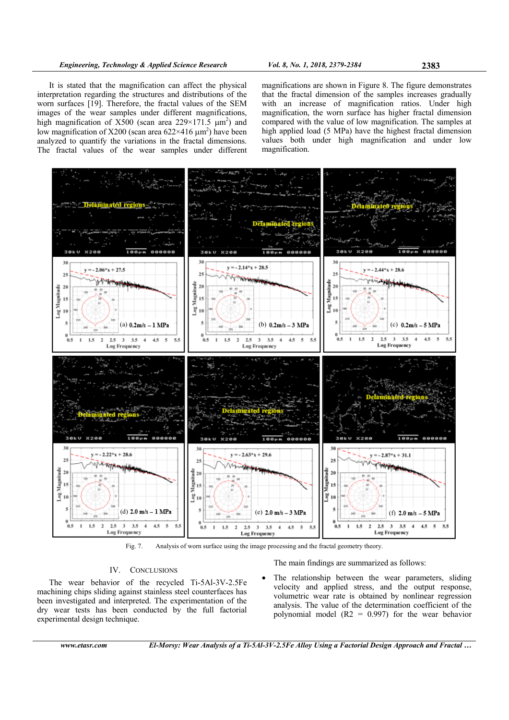It is stated that the magnification can affect the physical interpretation regarding the structures and distributions of the worn surfaces [19]. Therefore, the fractal values of the SEM images of the wear samples under different magnifications, high magnification of  $X500$  (scan area 229×171.5  $\mu$ m<sup>2</sup>) and low magnification of X200 (scan area  $622\times416 \mu m^2$ ) have been analyzed to quantify the variations in the fractal dimensions. The fractal values of the wear samples under different

magnifications are shown in Figure 8. The figure demonstrates that the fractal dimension of the samples increases gradually with an increase of magnification ratios. Under high magnification, the worn surface has higher fractal dimension compared with the value of low magnification. The samples at high applied load (5 MPa) have the highest fractal dimension values both under high magnification and under low magnification.



Fig. 7. Analysis of worn surface using the image processing and the fractal geometry theory.

# IV. CONCLUSIONS

The wear behavior of the recycled Ti-5Al-3V-2.5Fe machining chips sliding against stainless steel counterfaces has been investigated and interpreted. The experimentation of the dry wear tests has been conducted by the full factorial experimental design technique.

The main findings are summarized as follows:

 The relationship between the wear parameters, sliding velocity and applied stress, and the output response, volumetric wear rate is obtained by nonlinear regression analysis. The value of the determination coefficient of the polynomial model  $(R2 = 0.997)$  for the wear behavior